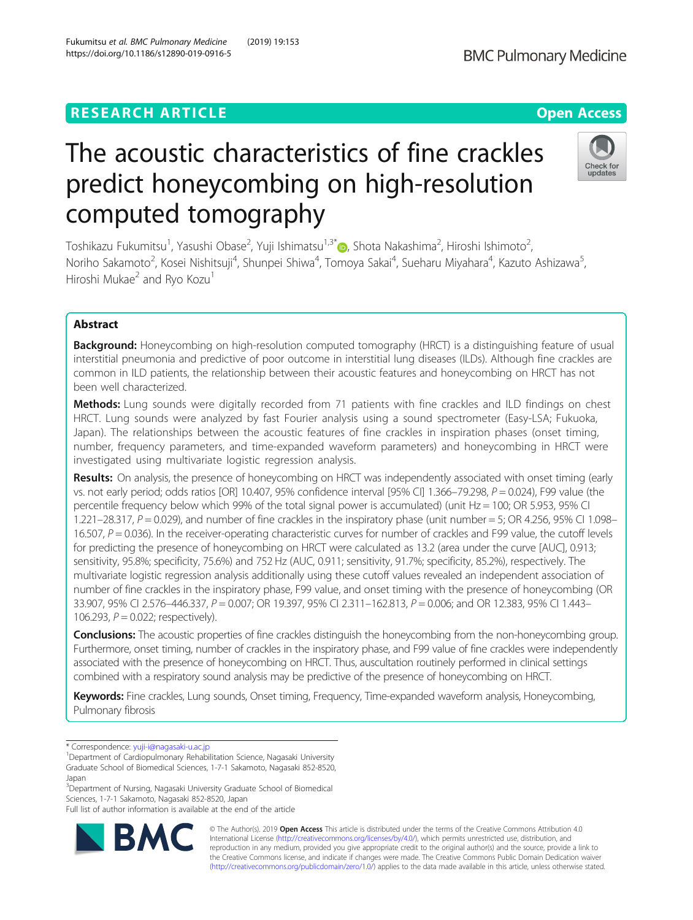# **RESEARCH ARTICLE Example 2014 12:30 The Contract of Contract ACCESS**

# The acoustic characteristics of fine crackles predict honeycombing on high-resolution computed tomography

Toshikazu Fukumitsu<sup>1</sup>[,](http://orcid.org/0000-0003-0915-1916) Yasushi Obase<sup>2</sup>, Yuji Ishimatsu<sup>1,3\*</sup>®, Shota Nakashima<sup>2</sup>, Hiroshi Ishimoto<sup>2</sup> .<br>, Noriho Sakamoto<sup>2</sup>, Kosei Nishitsuji<sup>4</sup>, Shunpei Shiwa<sup>4</sup>, Tomoya Sakai<sup>4</sup>, Sueharu Miyahara<sup>4</sup>, Kazuto Ashizawa<sup>5</sup> , Hiroshi Mukae $^2$  and Ryo Kozu<sup>1</sup>

# Abstract

**Background:** Honeycombing on high-resolution computed tomography (HRCT) is a distinguishing feature of usual interstitial pneumonia and predictive of poor outcome in interstitial lung diseases (ILDs). Although fine crackles are common in ILD patients, the relationship between their acoustic features and honeycombing on HRCT has not been well characterized.

Methods: Lung sounds were digitally recorded from 71 patients with fine crackles and ILD findings on chest HRCT. Lung sounds were analyzed by fast Fourier analysis using a sound spectrometer (Easy-LSA; Fukuoka, Japan). The relationships between the acoustic features of fine crackles in inspiration phases (onset timing, number, frequency parameters, and time-expanded waveform parameters) and honeycombing in HRCT were investigated using multivariate logistic regression analysis.

Results: On analysis, the presence of honeycombing on HRCT was independently associated with onset timing (early vs. not early period; odds ratios [OR] 10.407, 95% confidence interval [95% CI] 1.366–79.298, P = 0.024), F99 value (the percentile frequency below which 99% of the total signal power is accumulated) (unit Hz = 100; OR 5.953, 95% CI 1.221–28.317,  $P = 0.029$ ), and number of fine crackles in the inspiratory phase (unit number  $= 5$ ; OR 4.256, 95% CI 1.098– 16.507,  $P = 0.036$ ). In the receiver-operating characteristic curves for number of crackles and F99 value, the cutoff levels for predicting the presence of honeycombing on HRCT were calculated as 13.2 (area under the curve [AUC], 0.913; sensitivity, 95.8%; specificity, 75.6%) and 752 Hz (AUC, 0.911; sensitivity, 91.7%; specificity, 85.2%), respectively. The multivariate logistic regression analysis additionally using these cutoff values revealed an independent association of number of fine crackles in the inspiratory phase, F99 value, and onset timing with the presence of honeycombing (OR 33.907, 95% CI 2.576-446.337, P = 0.007; OR 19.397, 95% CI 2.311-162.813, P = 0.006; and OR 12.383, 95% CI 1.443-106.293,  $P = 0.022$ ; respectively).

Conclusions: The acoustic properties of fine crackles distinguish the honeycombing from the non-honeycombing group. Furthermore, onset timing, number of crackles in the inspiratory phase, and F99 value of fine crackles were independently associated with the presence of honeycombing on HRCT. Thus, auscultation routinely performed in clinical settings combined with a respiratory sound analysis may be predictive of the presence of honeycombing on HRCT.

Keywords: Fine crackles, Lung sounds, Onset timing, Frequency, Time-expanded waveform analysis, Honeycombing, Pulmonary fibrosis

\* Correspondence: [yuji-i@nagasaki-u.ac.jp](mailto:yuji-i@nagasaki-u.ac.jp) <sup>1</sup>

<sup>3</sup>Department of Nursing, Nagasaki University Graduate School of Biomedical Sciences, 1-7-1 Sakamoto, Nagasaki 852-8520, Japan

Full list of author information is available at the end of the article



© The Author(s). 2019 Open Access This article is distributed under the terms of the Creative Commons Attribution 4.0 International License [\(http://creativecommons.org/licenses/by/4.0/](http://creativecommons.org/licenses/by/4.0/)), which permits unrestricted use, distribution, and reproduction in any medium, provided you give appropriate credit to the original author(s) and the source, provide a link to the Creative Commons license, and indicate if changes were made. The Creative Commons Public Domain Dedication waiver [\(http://creativecommons.org/publicdomain/zero/1.0/](http://creativecommons.org/publicdomain/zero/1.0/)) applies to the data made available in this article, unless otherwise stated.



<sup>&</sup>lt;sup>1</sup>Department of Cardiopulmonary Rehabilitation Science, Nagasaki University Graduate School of Biomedical Sciences, 1-7-1 Sakamoto, Nagasaki 852-8520, Japan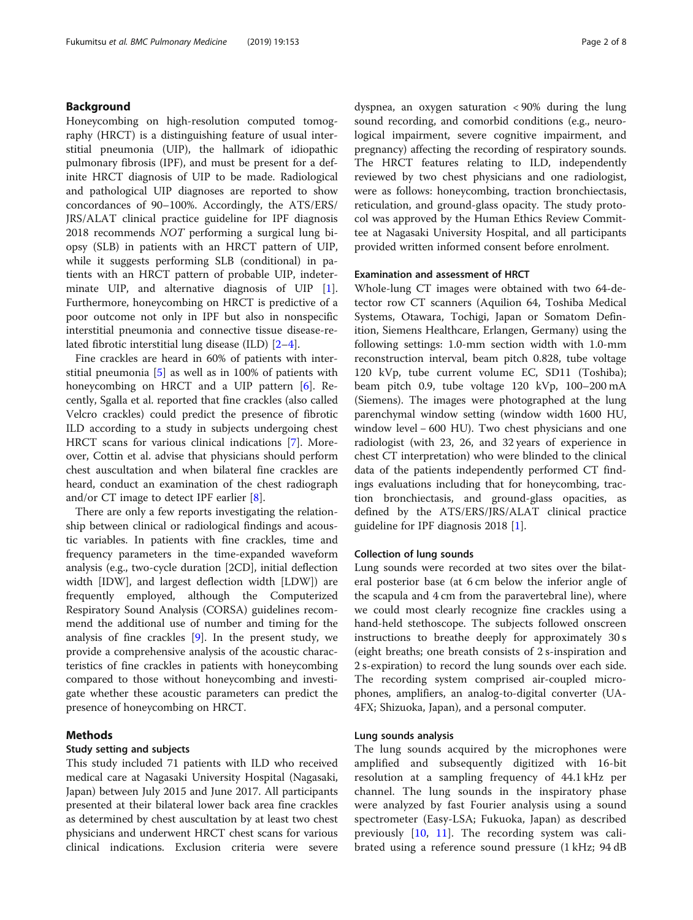# Background

Honeycombing on high-resolution computed tomography (HRCT) is a distinguishing feature of usual interstitial pneumonia (UIP), the hallmark of idiopathic pulmonary fibrosis (IPF), and must be present for a definite HRCT diagnosis of UIP to be made. Radiological and pathological UIP diagnoses are reported to show concordances of 90–100%. Accordingly, the ATS/ERS/ JRS/ALAT clinical practice guideline for IPF diagnosis 2018 recommends NOT performing a surgical lung biopsy (SLB) in patients with an HRCT pattern of UIP, while it suggests performing SLB (conditional) in patients with an HRCT pattern of probable UIP, indeterminate UIP, and alternative diagnosis of UIP [\[1](#page-6-0)]. Furthermore, honeycombing on HRCT is predictive of a poor outcome not only in IPF but also in nonspecific interstitial pneumonia and connective tissue disease-related fibrotic interstitial lung disease (ILD) [[2](#page-6-0)–[4\]](#page-6-0).

Fine crackles are heard in 60% of patients with interstitial pneumonia [[5\]](#page-6-0) as well as in 100% of patients with honeycombing on HRCT and a UIP pattern [[6\]](#page-6-0). Recently, Sgalla et al. reported that fine crackles (also called Velcro crackles) could predict the presence of fibrotic ILD according to a study in subjects undergoing chest HRCT scans for various clinical indications [[7\]](#page-6-0). Moreover, Cottin et al. advise that physicians should perform chest auscultation and when bilateral fine crackles are heard, conduct an examination of the chest radiograph and/or CT image to detect IPF earlier [[8\]](#page-6-0).

There are only a few reports investigating the relationship between clinical or radiological findings and acoustic variables. In patients with fine crackles, time and frequency parameters in the time-expanded waveform analysis (e.g., two-cycle duration [2CD], initial deflection width [IDW], and largest deflection width [LDW]) are frequently employed, although the Computerized Respiratory Sound Analysis (CORSA) guidelines recommend the additional use of number and timing for the analysis of fine crackles  $[9]$  $[9]$  $[9]$ . In the present study, we provide a comprehensive analysis of the acoustic characteristics of fine crackles in patients with honeycombing compared to those without honeycombing and investigate whether these acoustic parameters can predict the presence of honeycombing on HRCT.

# Methods

# Study setting and subjects

This study included 71 patients with ILD who received medical care at Nagasaki University Hospital (Nagasaki, Japan) between July 2015 and June 2017. All participants presented at their bilateral lower back area fine crackles as determined by chest auscultation by at least two chest physicians and underwent HRCT chest scans for various clinical indications. Exclusion criteria were severe dyspnea, an oxygen saturation < 90% during the lung sound recording, and comorbid conditions (e.g., neurological impairment, severe cognitive impairment, and pregnancy) affecting the recording of respiratory sounds. The HRCT features relating to ILD, independently reviewed by two chest physicians and one radiologist, were as follows: honeycombing, traction bronchiectasis, reticulation, and ground-glass opacity. The study protocol was approved by the Human Ethics Review Committee at Nagasaki University Hospital, and all participants provided written informed consent before enrolment.

#### Examination and assessment of HRCT

Whole-lung CT images were obtained with two 64-detector row CT scanners (Aquilion 64, Toshiba Medical Systems, Otawara, Tochigi, Japan or Somatom Definition, Siemens Healthcare, Erlangen, Germany) using the following settings: 1.0-mm section width with 1.0-mm reconstruction interval, beam pitch 0.828, tube voltage 120 kVp, tube current volume EC, SD11 (Toshiba); beam pitch 0.9, tube voltage 120 kVp, 100–200 mA (Siemens). The images were photographed at the lung parenchymal window setting (window width 1600 HU, window level − 600 HU). Two chest physicians and one radiologist (with 23, 26, and 32 years of experience in chest CT interpretation) who were blinded to the clinical data of the patients independently performed CT findings evaluations including that for honeycombing, traction bronchiectasis, and ground-glass opacities, as defined by the ATS/ERS/JRS/ALAT clinical practice guideline for IPF diagnosis 2018 [\[1](#page-6-0)].

### Collection of lung sounds

Lung sounds were recorded at two sites over the bilateral posterior base (at 6 cm below the inferior angle of the scapula and 4 cm from the paravertebral line), where we could most clearly recognize fine crackles using a hand-held stethoscope. The subjects followed onscreen instructions to breathe deeply for approximately 30 s (eight breaths; one breath consists of 2 s-inspiration and 2 s-expiration) to record the lung sounds over each side. The recording system comprised air-coupled microphones, amplifiers, an analog-to-digital converter (UA-4FX; Shizuoka, Japan), and a personal computer.

#### Lung sounds analysis

The lung sounds acquired by the microphones were amplified and subsequently digitized with 16-bit resolution at a sampling frequency of 44.1 kHz per channel. The lung sounds in the inspiratory phase were analyzed by fast Fourier analysis using a sound spectrometer (Easy-LSA; Fukuoka, Japan) as described previously [\[10](#page-6-0), [11\]](#page-6-0). The recording system was calibrated using a reference sound pressure (1 kHz; 94 dB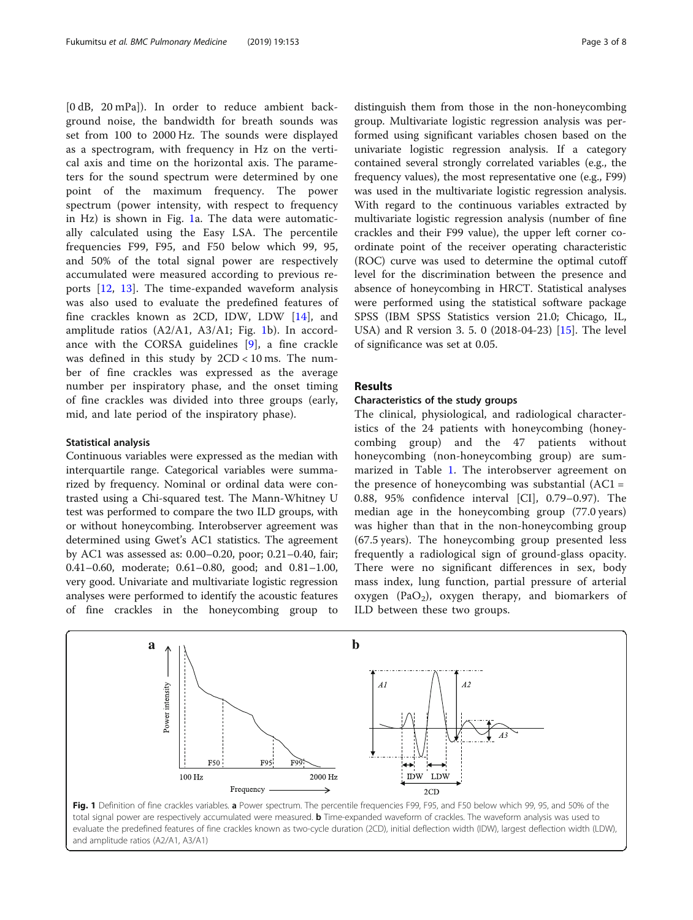[0 dB, 20 mPa]). In order to reduce ambient background noise, the bandwidth for breath sounds was set from 100 to 2000 Hz. The sounds were displayed as a spectrogram, with frequency in Hz on the vertical axis and time on the horizontal axis. The parameters for the sound spectrum were determined by one point of the maximum frequency. The power spectrum (power intensity, with respect to frequency in Hz) is shown in Fig. 1a. The data were automatically calculated using the Easy LSA. The percentile frequencies F99, F95, and F50 below which 99, 95, and 50% of the total signal power are respectively accumulated were measured according to previous reports [\[12](#page-6-0), [13\]](#page-6-0). The time-expanded waveform analysis was also used to evaluate the predefined features of fine crackles known as 2CD, IDW, LDW [[14\]](#page-6-0), and amplitude ratios (A2/A1, A3/A1; Fig. 1b). In accordance with the CORSA guidelines [[9](#page-6-0)], a fine crackle was defined in this study by 2CD < 10 ms. The number of fine crackles was expressed as the average number per inspiratory phase, and the onset timing of fine crackles was divided into three groups (early, mid, and late period of the inspiratory phase).

#### Statistical analysis

Continuous variables were expressed as the median with interquartile range. Categorical variables were summarized by frequency. Nominal or ordinal data were contrasted using a Chi-squared test. The Mann-Whitney U test was performed to compare the two ILD groups, with or without honeycombing. Interobserver agreement was determined using Gwet's AC1 statistics. The agreement by AC1 was assessed as: 0.00–0.20, poor; 0.21–0.40, fair; 0.41–0.60, moderate; 0.61–0.80, good; and 0.81–1.00, very good. Univariate and multivariate logistic regression analyses were performed to identify the acoustic features of fine crackles in the honeycombing group to

distinguish them from those in the non-honeycombing group. Multivariate logistic regression analysis was performed using significant variables chosen based on the univariate logistic regression analysis. If a category contained several strongly correlated variables (e.g., the frequency values), the most representative one (e.g., F99) was used in the multivariate logistic regression analysis. With regard to the continuous variables extracted by multivariate logistic regression analysis (number of fine crackles and their F99 value), the upper left corner coordinate point of the receiver operating characteristic (ROC) curve was used to determine the optimal cutoff level for the discrimination between the presence and absence of honeycombing in HRCT. Statistical analyses were performed using the statistical software package SPSS (IBM SPSS Statistics version 21.0; Chicago, IL, USA) and R version 3. 5. 0 (2018-04-23) [\[15](#page-6-0)]. The level of significance was set at 0.05.

# Results

#### Characteristics of the study groups

The clinical, physiological, and radiological characteristics of the 24 patients with honeycombing (honeycombing group) and the 47 patients without honeycombing (non-honeycombing group) are summarized in Table [1](#page-3-0). The interobserver agreement on the presence of honeycombing was substantial  $(AC1 =$ 0.88, 95% confidence interval [CI], 0.79–0.97). The median age in the honeycombing group (77.0 years) was higher than that in the non-honeycombing group (67.5 years). The honeycombing group presented less frequently a radiological sign of ground-glass opacity. There were no significant differences in sex, body mass index, lung function, partial pressure of arterial oxygen (PaO<sub>2</sub>), oxygen therapy, and biomarkers of ILD between these two groups.



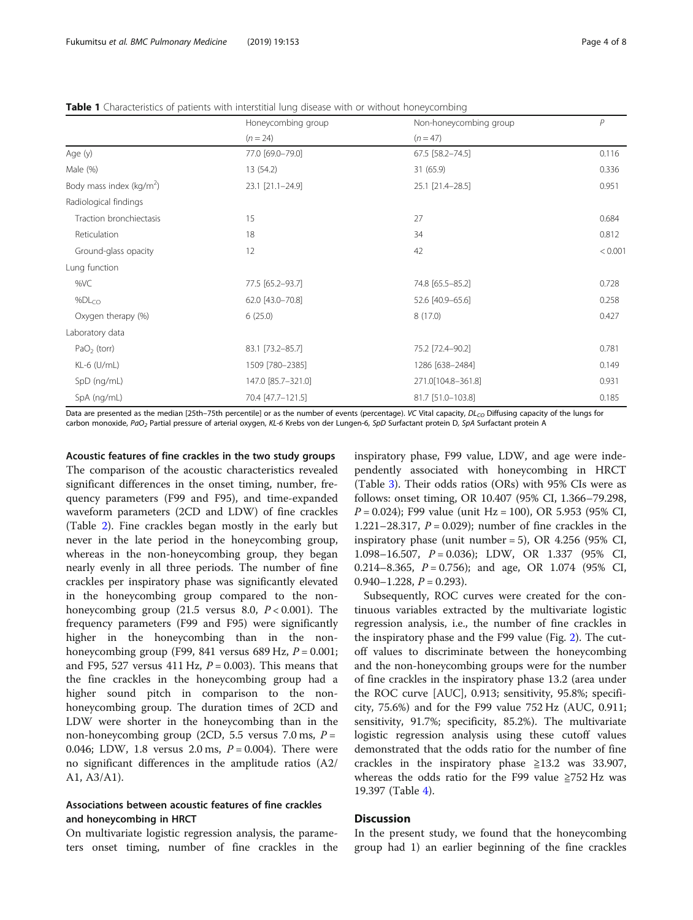<span id="page-3-0"></span>Table 1 Characteristics of patients with interstitial lung disease with or without honeycombing

|                             | Honeycombing group | Non-honeycombing group | $\mathsf{P}$ |  |
|-----------------------------|--------------------|------------------------|--------------|--|
|                             |                    |                        |              |  |
|                             | $(n = 24)$         | $(n = 47)$             |              |  |
| Age (y)                     | 77.0 [69.0-79.0]   | 67.5 [58.2-74.5]       | 0.116        |  |
| Male (%)                    | 13 (54.2)          | 31 (65.9)              | 0.336        |  |
| Body mass index ( $kg/m2$ ) | 23.1 [21.1-24.9]   | 25.1 [21.4-28.5]       | 0.951        |  |
| Radiological findings       |                    |                        |              |  |
| Traction bronchiectasis     | 15                 | 27                     | 0.684        |  |
| Reticulation                | 18                 | 34                     | 0.812        |  |
| Ground-glass opacity        | 12                 | 42                     | < 0.001      |  |
| Lung function               |                    |                        |              |  |
| %VC                         | 77.5 [65.2-93.7]   | 74.8 [65.5-85.2]       | 0.728        |  |
| %DL <sub>CO</sub>           | 62.0 [43.0-70.8]   | 52.6 [40.9-65.6]       | 0.258        |  |
| Oxygen therapy (%)          | 6(25.0)            | 8(17.0)                | 0.427        |  |
| Laboratory data             |                    |                        |              |  |
| $PaO2$ (torr)               | 83.1 [73.2-85.7]   | 75.2 [72.4-90.2]       | 0.781        |  |
| KL-6 (U/mL)                 | 1509 [780-2385]    | 1286 [638-2484]        | 0.149        |  |
| SpD (ng/mL)                 | 147.0 [85.7-321.0] | 271.0[104.8-361.8]     | 0.931        |  |
| SpA (ng/mL)                 | 70.4 [47.7-121.5]  | 81.7 [51.0-103.8]      | 0.185        |  |

Data are presented as the median [25th–75th percentile] or as the number of events (percentage). VC Vital capacity,  $DL_{CO}$  Diffusing capacity of the lungs for carbon monoxide, PaO<sub>2</sub> Partial pressure of arterial oxygen, KL-6 Krebs von der Lungen-6, SpD Surfactant protein D, SpA Surfactant protein A

Acoustic features of fine crackles in the two study groups The comparison of the acoustic characteristics revealed significant differences in the onset timing, number, frequency parameters (F99 and F95), and time-expanded waveform parameters (2CD and LDW) of fine crackles (Table [2](#page-4-0)). Fine crackles began mostly in the early but never in the late period in the honeycombing group, whereas in the non-honeycombing group, they began nearly evenly in all three periods. The number of fine crackles per inspiratory phase was significantly elevated in the honeycombing group compared to the nonhoneycombing group  $(21.5 \text{ versus } 8.0, P < 0.001)$ . The frequency parameters (F99 and F95) were significantly higher in the honeycombing than in the nonhoneycombing group (F99, 841 versus 689 Hz,  $P = 0.001$ ; and F95, 527 versus 411 Hz,  $P = 0.003$ ). This means that the fine crackles in the honeycombing group had a higher sound pitch in comparison to the nonhoneycombing group. The duration times of 2CD and LDW were shorter in the honeycombing than in the non-honeycombing group (2CD, 5.5 versus 7.0 ms,  $P =$ 0.046; LDW, 1.8 versus 2.0 ms,  $P = 0.004$ ). There were no significant differences in the amplitude ratios (A2/ A1, A3/A1).

# Associations between acoustic features of fine crackles and honeycombing in HRCT

On multivariate logistic regression analysis, the parameters onset timing, number of fine crackles in the

inspiratory phase, F99 value, LDW, and age were independently associated with honeycombing in HRCT (Table [3](#page-4-0)). Their odds ratios (ORs) with 95% CIs were as follows: onset timing, OR 10.407 (95% CI, 1.366–79.298,  $P = 0.024$ ; F99 value (unit Hz = 100), OR 5.953 (95% CI, 1.221–28.317,  $P = 0.029$ ; number of fine crackles in the inspiratory phase (unit number = 5), OR 4.256 (95% CI, 1.098–16.507, P = 0.036); LDW, OR 1.337 (95% CI, 0.214–8.365,  $P = 0.756$ ; and age, OR 1.074 (95% CI,  $0.940 - 1.228$ ,  $P = 0.293$ ).

Subsequently, ROC curves were created for the continuous variables extracted by the multivariate logistic regression analysis, i.e., the number of fine crackles in the inspiratory phase and the F99 value (Fig. [2\)](#page-5-0). The cutoff values to discriminate between the honeycombing and the non-honeycombing groups were for the number of fine crackles in the inspiratory phase 13.2 (area under the ROC curve [AUC], 0.913; sensitivity, 95.8%; specificity, 75.6%) and for the F99 value 752 Hz (AUC, 0.911; sensitivity, 91.7%; specificity, 85.2%). The multivariate logistic regression analysis using these cutoff values demonstrated that the odds ratio for the number of fine crackles in the inspiratory phase  $\geq 13.2$  was 33.907, whereas the odds ratio for the F99 value  $\geq$ 752 Hz was 19.397 (Table [4](#page-5-0)).

# **Discussion**

In the present study, we found that the honeycombing group had 1) an earlier beginning of the fine crackles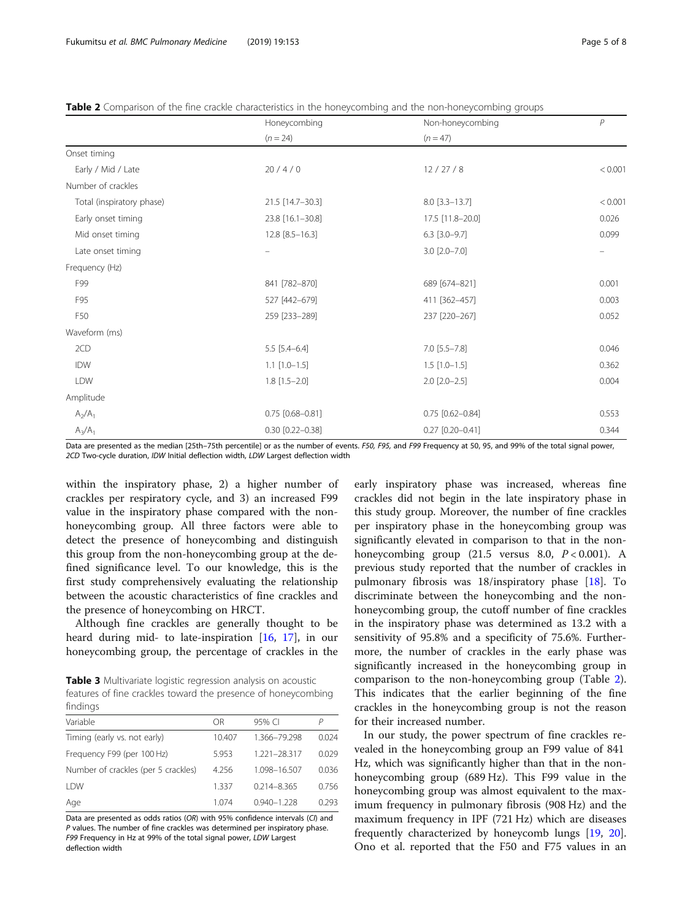<span id="page-4-0"></span>**Table 2** Comparison of the fine crackle characteristics in the honeycombing and the non-honeycombing groups

|                           | Honeycombing           | Non-honeycombing      | P       |
|---------------------------|------------------------|-----------------------|---------|
|                           | $(n = 24)$             | $(n = 47)$            |         |
| Onset timing              |                        |                       |         |
| Early / Mid / Late        | 20/4/0                 | 12 / 27 / 8           | < 0.001 |
| Number of crackles        |                        |                       |         |
| Total (inspiratory phase) | 21.5 [14.7-30.3]       | $8.0$ [3.3-13.7]      | < 0.001 |
| Early onset timing        | 23.8 [16.1-30.8]       | 17.5 [11.8-20.0]      | 0.026   |
| Mid onset timing          | $12.8$ [8.5-16.3]      | $6.3$ [3.0-9.7]       | 0.099   |
| Late onset timing         |                        | $3.0$ $[2.0 - 7.0]$   |         |
| Frequency (Hz)            |                        |                       |         |
| F99                       | 841 [782-870]          | 689 [674-821]         | 0.001   |
| F95                       | 527 [442-679]          | 411 [362-457]         | 0.003   |
| F50                       | 259 [233-289]          | 237 [220-267]         | 0.052   |
| Waveform (ms)             |                        |                       |         |
| 2CD                       | $5.5$ [5.4-6.4]        | $7.0$ [5.5-7.8]       | 0.046   |
| <b>IDW</b>                | $1.1$ $[1.0-1.5]$      | $1.5$ [1.0-1.5]       | 0.362   |
| LDW                       | $1.8$ [ $1.5 - 2.0$ ]  | $2.0$ [ $2.0 - 2.5$ ] | 0.004   |
| Amplitude                 |                        |                       |         |
| $A_2/A_1$                 | $0.75$ [0.68-0.81]     | $0.75$ [0.62-0.84]    | 0.553   |
| $A_3/A_1$                 | $0.30$ $[0.22 - 0.38]$ | $0.27$ [0.20-0.41]    | 0.344   |

Data are presented as the median [25th–75th percentile] or as the number of events. F50, F95, and F99 Frequency at 50, 95, and 99% of the total signal power, 2CD Two-cycle duration, IDW Initial deflection width, LDW Largest deflection width

within the inspiratory phase, 2) a higher number of crackles per respiratory cycle, and 3) an increased F99 value in the inspiratory phase compared with the nonhoneycombing group. All three factors were able to detect the presence of honeycombing and distinguish this group from the non-honeycombing group at the defined significance level. To our knowledge, this is the first study comprehensively evaluating the relationship between the acoustic characteristics of fine crackles and the presence of honeycombing on HRCT.

Although fine crackles are generally thought to be heard during mid- to late-inspiration [[16,](#page-6-0) [17\]](#page-7-0), in our honeycombing group, the percentage of crackles in the

Table 3 Multivariate logistic regression analysis on acoustic features of fine crackles toward the presence of honeycombing findings

| 111 IUII IUJ |                 |       |  |  |  |
|--------------|-----------------|-------|--|--|--|
| ΟR           | 95% CI          | Р     |  |  |  |
| 10.407       | 1.366-79.298    | 0.024 |  |  |  |
| 5.953        | 1.221-28.317    | 0.029 |  |  |  |
| 4.256        | 1.098-16.507    | 0.036 |  |  |  |
| 1.337        | $0.214 - 8.365$ | 0.756 |  |  |  |
| 1.074        | $0.940 - 1.228$ | 0.293 |  |  |  |
|              |                 |       |  |  |  |

Data are presented as odds ratios (OR) with 95% confidence intervals (CI) and P values. The number of fine crackles was determined per inspiratory phase. F99 Frequency in Hz at 99% of the total signal power, LDW Largest deflection width

early inspiratory phase was increased, whereas fine crackles did not begin in the late inspiratory phase in this study group. Moreover, the number of fine crackles per inspiratory phase in the honeycombing group was significantly elevated in comparison to that in the nonhoneycombing group  $(21.5 \text{ versus } 8.0, P < 0.001)$ . A previous study reported that the number of crackles in pulmonary fibrosis was 18/inspiratory phase [[18\]](#page-7-0). To discriminate between the honeycombing and the nonhoneycombing group, the cutoff number of fine crackles in the inspiratory phase was determined as 13.2 with a sensitivity of 95.8% and a specificity of 75.6%. Furthermore, the number of crackles in the early phase was significantly increased in the honeycombing group in comparison to the non-honeycombing group (Table 2). This indicates that the earlier beginning of the fine crackles in the honeycombing group is not the reason for their increased number.

In our study, the power spectrum of fine crackles revealed in the honeycombing group an F99 value of 841 Hz, which was significantly higher than that in the nonhoneycombing group (689 Hz). This F99 value in the honeycombing group was almost equivalent to the maximum frequency in pulmonary fibrosis (908 Hz) and the maximum frequency in IPF (721 Hz) which are diseases frequently characterized by honeycomb lungs [[19](#page-7-0), [20](#page-7-0)]. Ono et al. reported that the F50 and F75 values in an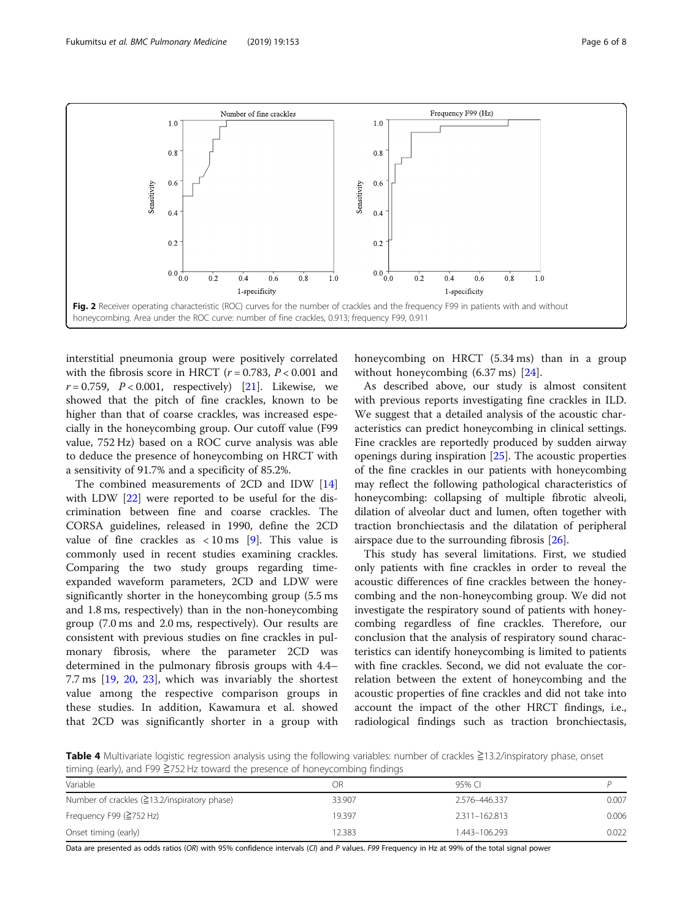<span id="page-5-0"></span>

interstitial pneumonia group were positively correlated with the fibrosis score in HRCT ( $r = 0.783$ ,  $P < 0.001$  and  $r = 0.759$ ,  $P < 0.001$ , respectively) [[21\]](#page-7-0). Likewise, we showed that the pitch of fine crackles, known to be higher than that of coarse crackles, was increased especially in the honeycombing group. Our cutoff value (F99 value, 752 Hz) based on a ROC curve analysis was able to deduce the presence of honeycombing on HRCT with a sensitivity of 91.7% and a specificity of 85.2%.

The combined measurements of 2CD and IDW [[14](#page-6-0)] with LDW [[22](#page-7-0)] were reported to be useful for the discrimination between fine and coarse crackles. The CORSA guidelines, released in 1990, define the 2CD value of fine crackles as  $\langle 10 \text{ ms} \space |9]$ . This value is commonly used in recent studies examining crackles. Comparing the two study groups regarding timeexpanded waveform parameters, 2CD and LDW were significantly shorter in the honeycombing group (5.5 ms and 1.8 ms, respectively) than in the non-honeycombing group (7.0 ms and 2.0 ms, respectively). Our results are consistent with previous studies on fine crackles in pulmonary fibrosis, where the parameter 2CD was determined in the pulmonary fibrosis groups with 4.4– 7.7 ms [\[19,](#page-7-0) [20](#page-7-0), [23\]](#page-7-0), which was invariably the shortest value among the respective comparison groups in these studies. In addition, Kawamura et al. showed that 2CD was significantly shorter in a group with honeycombing on HRCT (5.34 ms) than in a group without honeycombing (6.37 ms) [[24\]](#page-7-0).

As described above, our study is almost consitent with previous reports investigating fine crackles in ILD. We suggest that a detailed analysis of the acoustic characteristics can predict honeycombing in clinical settings. Fine crackles are reportedly produced by sudden airway openings during inspiration [\[25\]](#page-7-0). The acoustic properties of the fine crackles in our patients with honeycombing may reflect the following pathological characteristics of honeycombing: collapsing of multiple fibrotic alveoli, dilation of alveolar duct and lumen, often together with traction bronchiectasis and the dilatation of peripheral airspace due to the surrounding fibrosis [\[26\]](#page-7-0).

This study has several limitations. First, we studied only patients with fine crackles in order to reveal the acoustic differences of fine crackles between the honeycombing and the non-honeycombing group. We did not investigate the respiratory sound of patients with honeycombing regardless of fine crackles. Therefore, our conclusion that the analysis of respiratory sound characteristics can identify honeycombing is limited to patients with fine crackles. Second, we did not evaluate the correlation between the extent of honeycombing and the acoustic properties of fine crackles and did not take into account the impact of the other HRCT findings, i.e., radiological findings such as traction bronchiectasis,

Table 4 Multivariate logistic regression analysis using the following variables: number of crackles ≧13.2/inspiratory phase, onset timing (early), and F99 ≧752 Hz toward the presence of honeycombing findings

| Variable                                        | OR     | 95% CI        |       |
|-------------------------------------------------|--------|---------------|-------|
| Number of crackles $(213.2/$ inspiratory phase) | 33.907 | 2.576-446.337 | 0.007 |
| Frequency F99 ( $\geq$ 752 Hz)                  | 19.397 | 2.311-162.813 | 0.006 |
| Onset timing (early)                            | 12.383 | 1.443-106.293 | 0.022 |

Data are presented as odds ratios (OR) with 95% confidence intervals (CI) and P values. F99 Frequency in Hz at 99% of the total signal power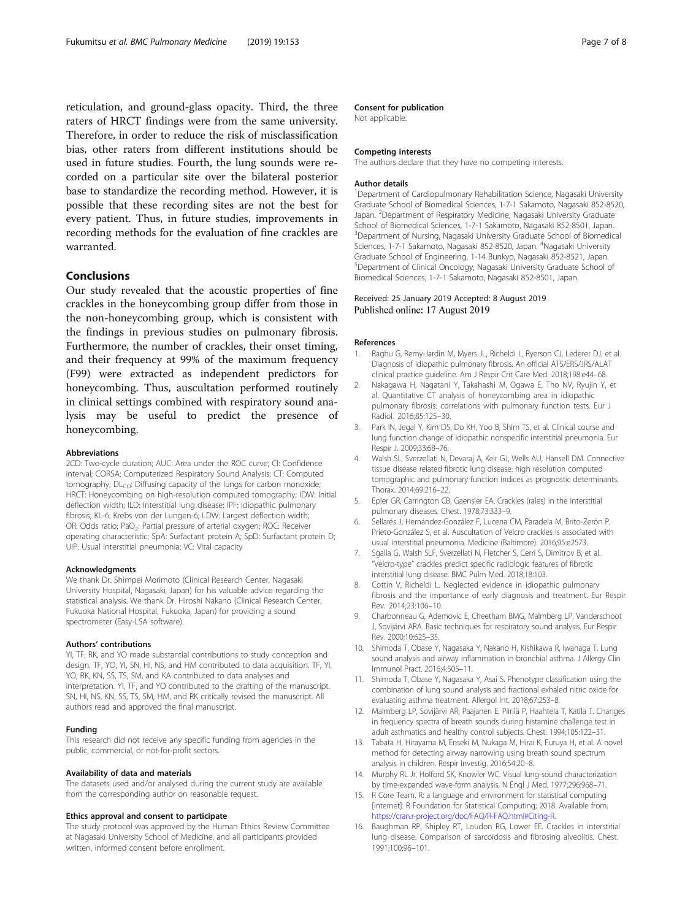<span id="page-6-0"></span>reticulation, and ground-glass opacity. Third, the three raters of HRCT findings were from the same university. Therefore, in order to reduce the risk of misclassification bias, other raters from different institutions should be used in future studies. Fourth, the lung sounds were recorded on a particular site over the bilateral posterior base to standardize the recording method. However, it is possible that these recording sites are not the best for every patient. Thus, in future studies, improvements in recording methods for the evaluation of fine crackles are warranted.

# Conclusions

Our study revealed that the acoustic properties of fine crackles in the honeycombing group differ from those in the non-honeycombing group, which is consistent with the findings in previous studies on pulmonary fibrosis. Furthermore, the number of crackles, their onset timing, and their frequency at 99% of the maximum frequency (F99) were extracted as independent predictors for honeycombing. Thus, auscultation performed routinely in clinical settings combined with respiratory sound analysis may be useful to predict the presence of honeycombing.

#### Abbreviations

2CD: Two-cycle duration; AUC: Area under the ROC curve; CI: Confidence interval; CORSA: Computerized Respiratory Sound Analysis; CT: Computed tomography;  $DL<sub>CO</sub>$ : Diffusing capacity of the lungs for carbon monoxide; HRCT: Honeycombing on high-resolution computed tomography; IDW: Initial deflection width; ILD: Interstitial lung disease; IPF: Idiopathic pulmonary fibrosis; KL-6: Krebs von der Lungen-6; LDW: Largest deflection width; OR: Odds ratio; PaO<sub>2</sub>: Partial pressure of arterial oxygen; ROC: Receiver operating characteristic; SpA: Surfactant protein A; SpD: Surfactant protein D; UIP: Usual interstitial pneumonia; VC: Vital capacity

#### Acknowledgments

We thank Dr. Shimpei Morimoto (Clinical Research Center, Nagasaki University Hospital, Nagasaki, Japan) for his valuable advice regarding the statistical analysis. We thank Dr. Hiroshi Nakano (Clinical Research Center, Fukuoka National Hospital, Fukuoka, Japan) for providing a sound spectrometer (Easy-LSA software).

#### Authors' contributions

YI, TF, RK, and YO made substantial contributions to study conception and design. TF, YO, YI, SN, HI, NS, and HM contributed to data acquisition. TF, YI, YO, RK, KN, SS, TS, SM, and KA contributed to data analyses and interpretation. YI, TF, and YO contributed to the drafting of the manuscript. SN, HI, NS, KN, SS, TS, SM, HM, and RK critically revised the manuscript. All authors read and approved the final manuscript.

#### Funding

This research did not receive any specific funding from agencies in the public, commercial, or not-for-profit sectors.

#### Availability of data and materials

The datasets used and/or analysed during the current study are available from the corresponding author on reasonable request.

#### Ethics approval and consent to participate

The study protocol was approved by the Human Ethics Review Committee at Nagasaki University School of Medicine, and all participants provided written, informed consent before enrollment.

#### Consent for publication

Not applicable.

#### Competing interests

The authors declare that they have no competing interests.

#### Author details

<sup>1</sup>Department of Cardiopulmonary Rehabilitation Science, Nagasaki University Graduate School of Biomedical Sciences, 1-7-1 Sakamoto, Nagasaki 852-8520, Japan. <sup>2</sup>Department of Respiratory Medicine, Nagasaki University Graduate School of Biomedical Sciences, 1-7-1 Sakamoto, Nagasaki 852-8501, Japan. <sup>3</sup>Department of Nursing, Nagasaki University Graduate School of Biomedical Sciences, 1-7-1 Sakamoto, Nagasaki 852-8520, Japan. <sup>4</sup>Nagasaki University Graduate School of Engineering, 1-14 Bunkyo, Nagasaki 852-8521, Japan. 5 Department of Clinical Oncology, Nagasaki University Graduate School of Biomedical Sciences, 1-7-1 Sakamoto, Nagasaki 852-8501, Japan.

#### Received: 25 January 2019 Accepted: 8 August 2019 Published online: 17 August 2019

#### References

- Raghu G, Remy-Jardin M, Myers JL, Richeldi L, Ryerson CJ, Lederer DJ, et al. Diagnosis of idiopathic pulmonary fibrosis. An official ATS/ERS/JRS/ALAT clinical practice guideline. Am J Respir Crit Care Med. 2018;198:e44–68.
- 2. Nakagawa H, Nagatani Y, Takahashi M, Ogawa E, Tho NV, Ryujin Y, et al. Quantitative CT analysis of honeycombing area in idiopathic pulmonary fibrosis: correlations with pulmonary function tests. Eur J Radiol. 2016;85:125–30.
- 3. Park IN, Jegal Y, Kim DS, Do KH, Yoo B, Shim TS, et al. Clinical course and lung function change of idiopathic nonspecific interstitial pneumonia. Eur Respir J. 2009;33:68–76.
- 4. Walsh SL, Sverzellati N, Devaraj A, Keir GJ, Wells AU, Hansell DM. Connective tissue disease related fibrotic lung disease: high resolution computed tomographic and pulmonary function indices as prognostic determinants. Thorax. 2014;69:216–22.
- 5. Epler GR, Carrington CB, Gaensler EA. Crackles (rales) in the interstitial pulmonary diseases. Chest. 1978;73:333–9.
- 6. Sellarés J, Hernández-González F, Lucena CM, Paradela M, Brito-Zerón P, Prieto-González S, et al. Auscultation of Velcro crackles is associated with usual interstitial pneumonia. Medicine (Baltimore). 2016;95:e2573.
- 7. Sgalla G, Walsh SLF, Sverzellati N, Fletcher S, Cerri S, Dimitrov B, et al. "Velcro-type" crackles predict specific radiologic features of fibrotic interstitial lung disease. BMC Pulm Med. 2018;18:103.
- 8. Cottin V, Richeldi L. Neglected evidence in idiopathic pulmonary fibrosis and the importance of early diagnosis and treatment. Eur Respir Rev. 2014;23:106–10.
- 9. Charbonneau G, Ademovic E, Cheetham BMG, Malmberg LP, Vanderschoot J, Sovijärvi ARA. Basic techniques for respiratory sound analysis. Eur Respir Rev. 2000;10:625–35.
- 10. Shimoda T, Obase Y, Nagasaka Y, Nakano H, Kishikawa R, Iwanaga T. Lung sound analysis and airway inflammation in bronchial asthma. J Allergy Clin Immunol Pract. 2016;4:505–11.
- 11. Shimoda T, Obase Y, Nagasaka Y, Asai S. Phenotype classification using the combination of lung sound analysis and fractional exhaled nitric oxide for evaluating asthma treatment. Allergol Int. 2018;67:253–8.
- 12. Malmberg LP, Sovijärvi AR, Paajanen E, Piirilä P, Haahtela T, Katila T. Changes in frequency spectra of breath sounds during histamine challenge test in adult asthmatics and healthy control subjects. Chest. 1994;105:122–31.
- 13. Tabata H, Hirayama M, Enseki M, Nukaga M, Hirai K, Furuya H, et al. A novel method for detecting airway narrowing using breath sound spectrum analysis in children. Respir Investig. 2016;54:20–8.
- 14. Murphy RL Jr, Holford SK, Knowler WC. Visual lung-sound characterization by time-expanded wave-form analysis. N Engl J Med. 1977;296:968–71.
- 15. R Core Team. R: a language and environment for statistical computing [internet]: R Foundation for Statistical Computing; 2018. Available from: [https://cran.r-project.org/doc/FAQ/R-FAQ.html#Citing-R.](https://cran.r-project.org/doc/FAQ/R-FAQ.html#Citing-R)
- 16. Baughman RP, Shipley RT, Loudon RG, Lower EE. Crackles in interstitial lung disease. Comparison of sarcoidosis and fibrosing alveolitis. Chest. 1991;100:96–101.